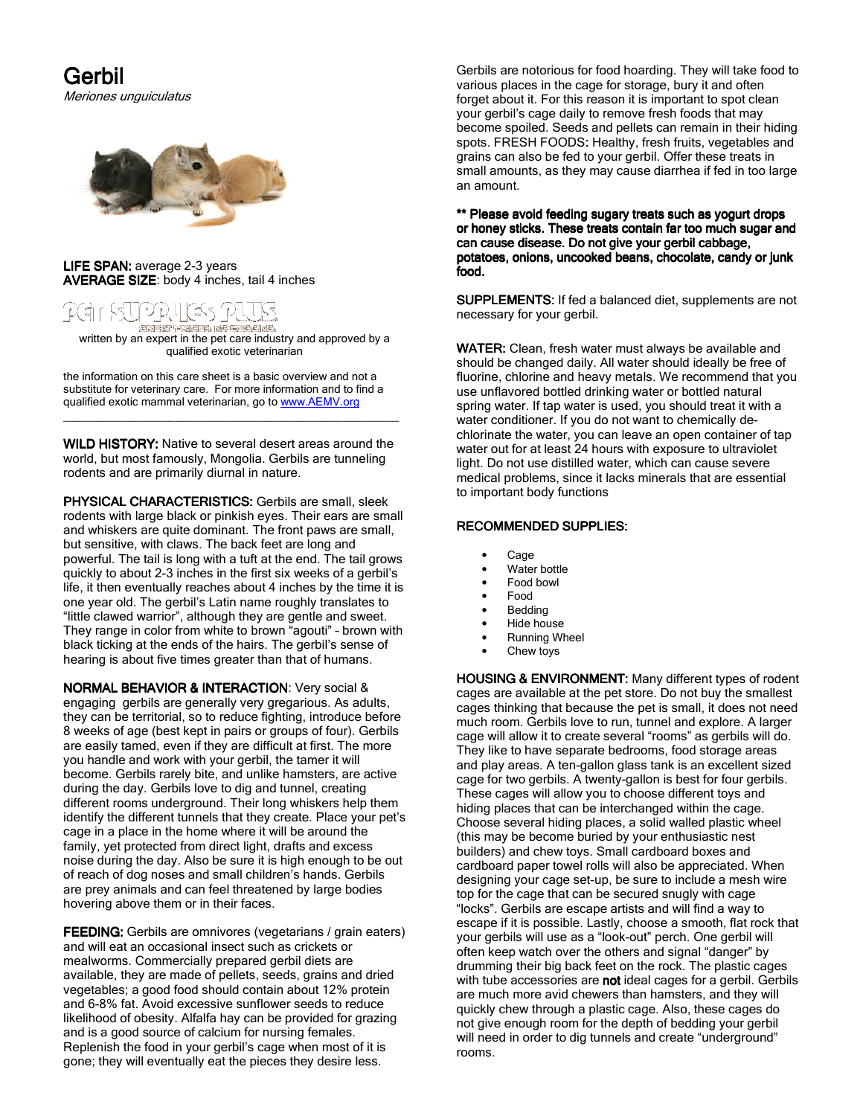Gerbil Meriones unguiculatus



## LIFE SPAN: average 2-3 years AVERAGE SIZE: body 4 inches, tail 4 inches



written by an expert in the pet care industry and approved by a<br>written by an expert in the pet care industry and approved by a qualified exotic veterinarian

the information on this care sheet is a basic overview and not a substitute for veterinary care. For more information and to find a qualified exotic mammal veterinarian, go to www.AEMV.org

WILD HISTORY: Native to several desert areas around the world, but most famously, Mongolia. Gerbils are tunneling rodents and are primarily diurnal in nature.

\_\_\_\_\_\_\_\_\_\_\_\_\_\_\_\_\_\_\_\_\_\_\_\_\_\_\_\_\_\_\_\_\_\_\_\_\_\_\_\_\_\_\_\_\_\_\_\_

PHYSICAL CHARACTERISTICS: Gerbils are small, sleek rodents with large black or pinkish eyes. Their ears are small and whiskers are quite dominant. The front paws are small, but sensitive, with claws. The back feet are long and powerful. The tail is long with a tuft at the end. The tail grows quickly to about 2-3 inches in the first six weeks of a gerbil's life, it then eventually reaches about 4 inches by the time it is one year old. The gerbil's Latin name roughly translates to "little clawed warrior", although they are gentle and sweet. They range in color from white to brown "agouti" – brown with black ticking at the ends of the hairs. The gerbil's sense of hearing is about five times greater than that of humans.

NORMAL BEHAVIOR & INTERACTION: Very social & engaging gerbils are generally very gregarious. As adults, they can be territorial, so to reduce fighting, introduce before 8 weeks of age (best kept in pairs or groups of four). Gerbils are easily tamed, even if they are difficult at first. The more you handle and work with your gerbil, the tamer it will become. Gerbils rarely bite, and unlike hamsters, are active during the day. Gerbils love to dig and tunnel, creating different rooms underground. Their long whiskers help them identify the different tunnels that they create. Place your pet's cage in a place in the home where it will be around the family, yet protected from direct light, drafts and excess noise during the day. Also be sure it is high enough to be out of reach of dog noses and small children's hands. Gerbils are prey animals and can feel threatened by large bodies hovering above them or in their faces.

**FEEDING:** Gerbils are omnivores (vegetarians / grain eaters) and will eat an occasional insect such as crickets or mealworms. Commercially prepared gerbil diets are available, they are made of pellets, seeds, grains and dried vegetables; a good food should contain about 12% protein and 6-8% fat. Avoid excessive sunflower seeds to reduce likelihood of obesity. Alfalfa hay can be provided for grazing and is a good source of calcium for nursing females. Replenish the food in your gerbil's cage when most of it is gone; they will eventually eat the pieces they desire less.

Gerbils are notorious for food hoarding. They will take food to various places in the cage for storage, bury it and often forget about it. For this reason it is important to spot clean your gerbil's cage daily to remove fresh foods that may become spoiled. Seeds and pellets can remain in their hiding spots. FRESH FOODS: Healthy, fresh fruits, vegetables and grains can also be fed to your gerbil. Offer these treats in small amounts, as they may cause diarrhea if fed in too large an amount.

\*\* Please avoid feeding sugary treats such as yogurt drops or honey sticks. These treats contain far too much sugar and can cause disease. Do not give your gerbil cabbage, potatoes, onions, uncooked beans, chocolate, candy or junk food.

SUPPLEMENTS: If fed a balanced diet, supplements are not necessary for your gerbil.

WATER: Clean, fresh water must always be available and should be changed daily. All water should ideally be free of fluorine, chlorine and heavy metals. We recommend that you use unflavored bottled drinking water or bottled natural spring water. If tap water is used, you should treat it with a water conditioner. If you do not want to chemically dechlorinate the water, you can leave an open container of tap water out for at least 24 hours with exposure to ultraviolet light. Do not use distilled water, which can cause severe medical problems, since it lacks minerals that are essential to important body functions

## RECOMMENDED SUPPLIES:

- Cage
- Water bottle
- Food bowl
- Food
- **Bedding**
- Hide house
- Running Wheel
- Chew toys

HOUSING & ENVIRONMENT: Many different types of rodent cages are available at the pet store. Do not buy the smallest cages thinking that because the pet is small, it does not need much room. Gerbils love to run, tunnel and explore. A larger cage will allow it to create several "rooms" as gerbils will do. They like to have separate bedrooms, food storage areas and play areas. A ten-gallon glass tank is an excellent sized cage for two gerbils. A twenty-gallon is best for four gerbils. These cages will allow you to choose different toys and hiding places that can be interchanged within the cage. Choose several hiding places, a solid walled plastic wheel (this may be become buried by your enthusiastic nest builders) and chew toys. Small cardboard boxes and cardboard paper towel rolls will also be appreciated. When designing your cage set-up, be sure to include a mesh wire top for the cage that can be secured snugly with cage "locks". Gerbils are escape artists and will find a way to escape if it is possible. Lastly, choose a smooth, flat rock that your gerbils will use as a "look-out" perch. One gerbil will often keep watch over the others and signal "danger" by drumming their big back feet on the rock. The plastic cages with tube accessories are not ideal cages for a gerbil. Gerbils are much more avid chewers than hamsters, and they will quickly chew through a plastic cage. Also, these cages do not give enough room for the depth of bedding your gerbil will need in order to dig tunnels and create "underground" rooms.